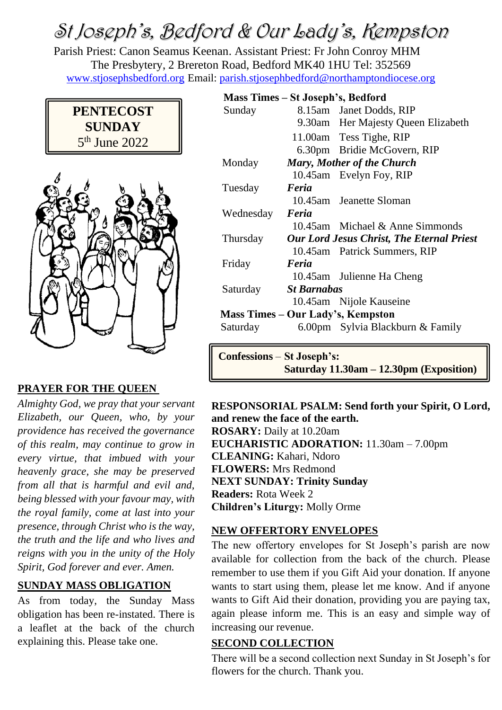# St Joseph's, Bedford & Our Lady's, Kempston

Parish Priest: Canon Seamus Keenan. Assistant Priest: Fr John Conroy MHM The Presbytery, 2 Brereton Road, Bedford MK40 1HU Tel: 352569 [www.stjosephsbedford.org](http://www.stjosephsbedford.org/) Email: [parish.stjosephbedford@northamptondiocese.org](mailto:parish.stjosephbedford@northamptondiocese.org)





#### **PRAYER FOR THE QUEEN**

*Almighty God, we pray that your servant Elizabeth, our Queen, who, by your providence has received the governance of this realm, may continue to grow in every virtue, that imbued with your heavenly grace, she may be preserved from all that is harmful and evil and, being blessed with your favour may, with the royal family, come at last into your presence, through Christ who is the way, the truth and the life and who lives and reigns with you in the unity of the Holy Spirit, God forever and ever. Amen.*

#### **SUNDAY MASS OBLIGATION**

As from today, the Sunday Mass obligation has been re-instated. There is a leaflet at the back of the church explaining this. Please take one.

| Mass Times - St Joseph's, Bedford |                                                  |                                    |  |
|-----------------------------------|--------------------------------------------------|------------------------------------|--|
| Sunday                            |                                                  | 8.15am Janet Dodds, RIP            |  |
|                                   |                                                  | 9.30am Her Majesty Queen Elizabeth |  |
|                                   |                                                  | 11.00am Tess Tighe, RIP            |  |
|                                   |                                                  | 6.30pm Bridie McGovern, RIP        |  |
| Monday                            | <b>Mary, Mother of the Church</b>                |                                    |  |
|                                   |                                                  | 10.45am Evelyn Foy, RIP            |  |
| Tuesday                           | Feria                                            |                                    |  |
|                                   |                                                  | 10.45am Jeanette Sloman            |  |
| Wednesday                         | Feria                                            |                                    |  |
|                                   |                                                  | 10.45am Michael & Anne Simmonds    |  |
| Thursday                          | <b>Our Lord Jesus Christ, The Eternal Priest</b> |                                    |  |
|                                   |                                                  | 10.45am Patrick Summers, RIP       |  |
| Friday                            | Feria                                            |                                    |  |
|                                   |                                                  | 10.45am Julienne Ha Cheng          |  |
| Saturday                          | <b>St Barnabas</b>                               |                                    |  |
|                                   |                                                  | 10.45am Nijole Kauseine            |  |
| Mass Times – Our Lady's, Kempston |                                                  |                                    |  |
| Saturday                          |                                                  | 6.00pm Sylvia Blackburn & Family   |  |
|                                   |                                                  |                                    |  |

**Confessions** – **St Joseph's: Saturday 11.30am – 12.30pm (Exposition)**

**RESPONSORIAL PSALM: Send forth your Spirit, O Lord, and renew the face of the earth. ROSARY:** Daily at 10.20am **EUCHARISTIC ADORATION:** 11.30am – 7.00pm **CLEANING:** Kahari, Ndoro **FLOWERS:** Mrs Redmond **NEXT SUNDAY: Trinity Sunday Readers:** Rota Week 2 **Children's Liturgy:** Molly Orme

#### **NEW OFFERTORY ENVELOPES**

The new offertory envelopes for St Joseph's parish are now available for collection from the back of the church. Please remember to use them if you Gift Aid your donation. If anyone wants to start using them, please let me know. And if anyone wants to Gift Aid their donation, providing you are paying tax, again please inform me. This is an easy and simple way of increasing our revenue.

#### **SECOND COLLECTION**

There will be a second collection next Sunday in St Joseph's for flowers for the church. Thank you.